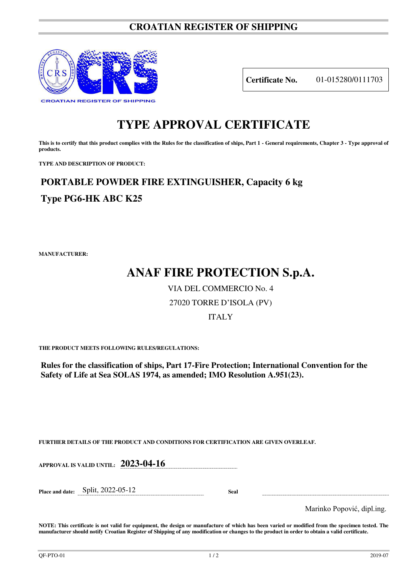### **CROATIAN REGISTER OF SHIPPING**



**Certificate No.** 01-015280/0111703

# **TYPE APPROVAL CERTIFICATE**

This is to certify that this product complies with the Rules for the classification of ships, Part 1 - General requirements, Chapter 3 - Type approval of **products.** 

**TYPE AND DESCRIPTION OF PRODUCT:** 

# **PORTABLE POWDER FIRE EXTINGUISHER, Capacity 6 kg**

## **Type PG6-HK ABC K25**

**MANUFACTURER:**

# **ANAF FIRE PROTECTION S.p.A.**

VIA DEL COMMERCIO No. 4

### 27020 TORRE D'ISOLA (PV)

### ITALY

**THE PRODUCT MEETS FOLLOWING RULES/REGULATIONS:**

**Rules for the classification of ships, Part 17-Fire Protection; International Convention for the Safety of Life at Sea SOLAS 1974, as amended; IMO Resolution A.951(23).**

**FURTHER DETAILS OF THE PRODUCT AND CONDITIONS FOR CERTIFICATION ARE GIVEN OVERLEAF.**

**APPROVAL IS VALID UNTIL: 2023-04-16**

**Place and date:** Split, 2022-05-12 **Seal** 

Marinko Popović, dipl.ing.

**NOTE: This certificate is not valid for equipment, the design or manufacture of which has been varied or modified from the specimen tested. The manufacturer should notify Croatian Register of Shipping of any modification or changes to the product in order to obtain a valid certificate.**